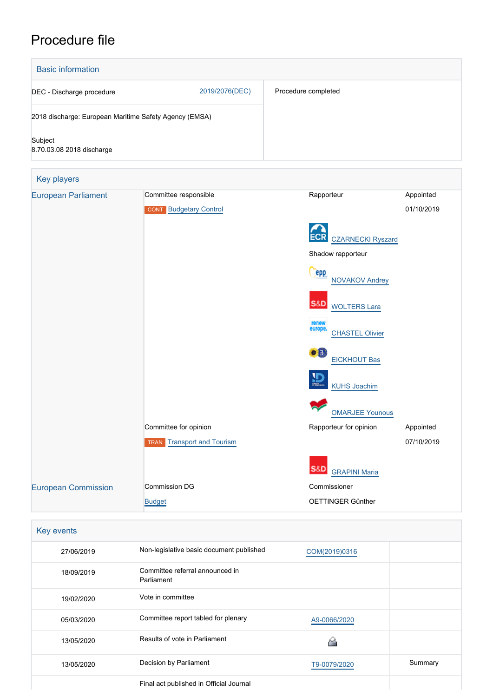# Procedure file



| Key events |                                               |               |         |
|------------|-----------------------------------------------|---------------|---------|
| 27/06/2019 | Non-legislative basic document published      | COM(2019)0316 |         |
| 18/09/2019 | Committee referral announced in<br>Parliament |               |         |
| 19/02/2020 | Vote in committee                             |               |         |
| 05/03/2020 | Committee report tabled for plenary           | A9-0066/2020  |         |
| 13/05/2020 | Results of vote in Parliament                 |               |         |
| 13/05/2020 | Decision by Parliament                        | T9-0079/2020  | Summary |
|            | Final act published in Official Journal       |               |         |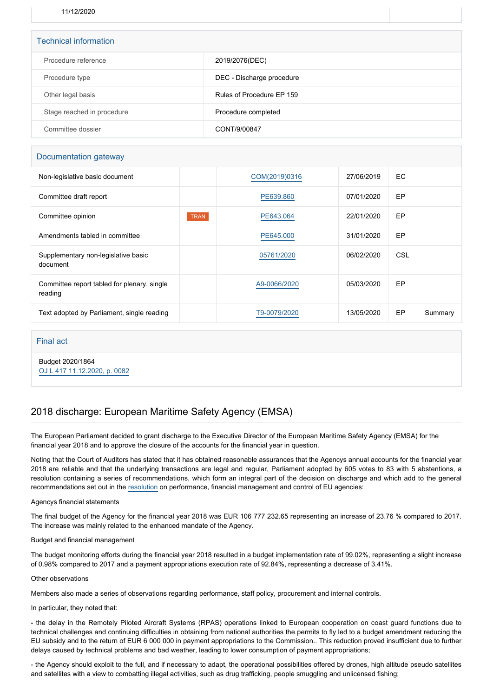11/12/2020

| <b>Technical information</b> |                           |  |  |  |
|------------------------------|---------------------------|--|--|--|
| Procedure reference          | 2019/2076(DEC)            |  |  |  |
| Procedure type               | DEC - Discharge procedure |  |  |  |
| Other legal basis            | Rules of Procedure EP 159 |  |  |  |
| Stage reached in procedure   | Procedure completed       |  |  |  |
| Committee dossier            | CONT/9/00847              |  |  |  |

# Documentation gateway

| Non-legislative basic document                         |             | COM(2019)0316 | 27/06/2019 | EC. |         |
|--------------------------------------------------------|-------------|---------------|------------|-----|---------|
| Committee draft report                                 |             | PE639,860     | 07/01/2020 | EP  |         |
| Committee opinion                                      | <b>TRAN</b> | PE643.064     | 22/01/2020 | EP  |         |
| Amendments tabled in committee                         |             | PE645,000     | 31/01/2020 | EP  |         |
| Supplementary non-legislative basic<br>document        |             | 05761/2020    | 06/02/2020 | CSL |         |
| Committee report tabled for plenary, single<br>reading |             | A9-0066/2020  | 05/03/2020 | EP  |         |
| Text adopted by Parliament, single reading             |             | T9-0079/2020  | 13/05/2020 | EP  | Summary |

Final act

Budget 2020/1864 [OJ L 417 11.12.2020, p. 0082](https://eur-lex.europa.eu/legal-content/EN/TXT/?uri=OJ:L:2020:417:TOC)

# 2018 discharge: European Maritime Safety Agency (EMSA)

The European Parliament decided to grant discharge to the Executive Director of the European Maritime Safety Agency (EMSA) for the financial year 2018 and to approve the closure of the accounts for the financial year in question.

Noting that the Court of Auditors has stated that it has obtained reasonable assurances that the Agencys annual accounts for the financial year 2018 are reliable and that the underlying transactions are legal and regular, Parliament adopted by 605 votes to 83 with 5 abstentions, a resolution containing a series of recommendations, which form an integral part of the decision on discharge and which add to the general recommendations set out in the [resolution](https://oeil.secure.europarl.europa.eu/oeil/popups/ficheprocedure.do?lang=en&reference=2019/2098(DEC)) on performance, financial management and control of EU agencies:

## Agencys financial statements

The final budget of the Agency for the financial year 2018 was EUR 106 777 232.65 representing an increase of 23.76 % compared to 2017. The increase was mainly related to the enhanced mandate of the Agency.

#### Budget and financial management

The budget monitoring efforts during the financial year 2018 resulted in a budget implementation rate of 99.02%, representing a slight increase of 0.98% compared to 2017 and a payment appropriations execution rate of 92.84%, representing a decrease of 3.41%.

#### Other observations

Members also made a series of observations regarding performance, staff policy, procurement and internal controls.

### In particular, they noted that:

- the delay in the Remotely Piloted Aircraft Systems (RPAS) operations linked to European cooperation on coast guard functions due to technical challenges and continuing difficulties in obtaining from national authorities the permits to fly led to a budget amendment reducing the EU subsidy and to the return of EUR 6 000 000 in payment appropriations to the Commission.. This reduction proved insufficient due to further delays caused by technical problems and bad weather, leading to lower consumption of payment appropriations;

- the Agency should exploit to the full, and if necessary to adapt, the operational possibilities offered by drones, high altitude pseudo satellites and satellites with a view to combatting illegal activities, such as drug trafficking, people smuggling and unlicensed fishing;